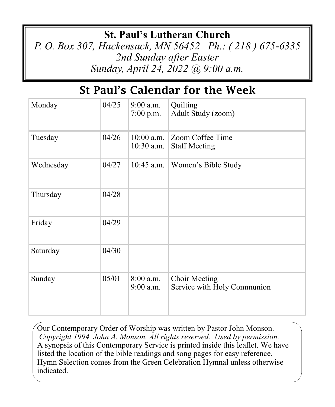# **St. Paul's Lutheran Church**

*P. O. Box 307, Hackensack, MN 56452 Ph.: ( 218 ) 675-6335 2nd Sunday after Easter Sunday, April 24, 2022 @ 9:00 a.m.*

# St Paul's Calendar for the Week

| Monday    | 04/25 | $9:00$ a.m.<br>$7:00$ p.m.   | Quilting<br>Adult Study (zoom)               |
|-----------|-------|------------------------------|----------------------------------------------|
| Tuesday   | 04/26 | $10:00$ a.m.<br>$10:30$ a.m. | Zoom Coffee Time<br><b>Staff Meeting</b>     |
| Wednesday | 04/27 | $10:45$ a.m.                 | Women's Bible Study                          |
| Thursday  | 04/28 |                              |                                              |
| Friday    | 04/29 |                              |                                              |
| Saturday  | 04/30 |                              |                                              |
| Sunday    | 05/01 | $8:00$ a.m.<br>$9:00$ a.m.   | Choir Meeting<br>Service with Holy Communion |

Our Contemporary Order of Worship was written by Pastor John Monson. *Copyright 1994, John A. Monson, All rights reserved. Used by permission.*  A synopsis of this Contemporary Service is printed inside this leaflet. We have listed the location of the bible readings and song pages for easy reference. Hymn Selection comes from the Green Celebration Hymnal unless otherwise indicated.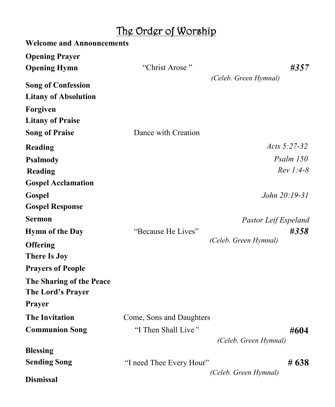# The Order of Worship

| <b>Welcome and Announcements</b>                         |                          |                               |  |
|----------------------------------------------------------|--------------------------|-------------------------------|--|
| <b>Opening Prayer</b><br><b>Opening Hymn</b>             | "Christ Arose"           | #357<br>(Celeb. Green Hymnal) |  |
| <b>Song of Confession</b><br><b>Litany of Absolution</b> |                          |                               |  |
| Forgiven<br><b>Litany of Praise</b>                      |                          |                               |  |
| <b>Song of Praise</b>                                    | Dance with Creation      |                               |  |
| Reading                                                  |                          | Acts $5:27-32$                |  |
| <b>Psalmody</b>                                          |                          | Psalm 150                     |  |
| Reading                                                  |                          | $Rev 1:4-8$                   |  |
| <b>Gospel Acclamation</b>                                |                          |                               |  |
| Gospel                                                   |                          | John 20:19-31                 |  |
| <b>Gospel Response</b>                                   |                          |                               |  |
| <b>Sermon</b>                                            |                          | Pastor Leif Espeland          |  |
| <b>Hymn of the Day</b>                                   | "Because He Lives"       | #358                          |  |
| <b>Offering</b><br><b>There Is Joy</b>                   |                          | (Celeb. Green Hymnal)         |  |
| <b>Prayers of People</b>                                 |                          |                               |  |
| The Sharing of the Peace<br>The Lord's Prayer            |                          |                               |  |
| Prayer                                                   |                          |                               |  |
| <b>The Invitation</b>                                    | Come, Sons and Daughters |                               |  |
| <b>Communion Song</b>                                    | "I Then Shall Live"      | #604<br>(Celeb. Green Hymnal) |  |
| <b>Blessing</b>                                          |                          |                               |  |
| <b>Sending Song</b>                                      | "I need Thee Every Hour" | # 638                         |  |
| <b>Dismissal</b>                                         |                          | (Celeb. Green Hymnal)         |  |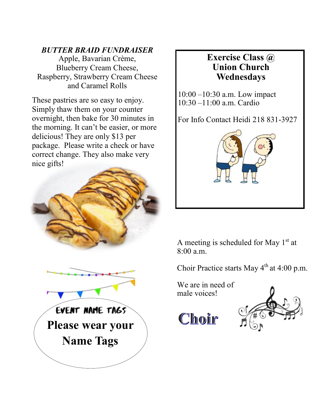#### *BUTTER BRAID FUNDRAISER*

Apple, Bavarian Crème, Blueberry Cream Cheese, Raspberry, Strawberry Cream Cheese and Caramel Rolls

These pastries are so easy to enjoy. Simply thaw them on your counter overnight, then bake for 30 minutes in the morning. It can't be easier, or more delicious! They are only \$13 per package. Please write a check or have correct change. They also make very nice gifts!





### **Exercise Class @ Union Church Wednesdays**

10:00 –10:30 a.m. Low impact 10:30 –11:00 a.m. Cardio

For Info Contact Heidi 218 831-3927



A meeting is scheduled for May  $1<sup>st</sup>$  at 8:00 a.m.

Choir Practice starts May  $4<sup>th</sup>$  at 4:00 p.m.

We are in need of male voices!

Choir